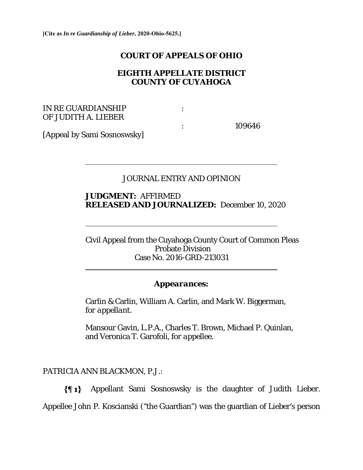#### **COURT OF APPEALS OF OHIO**

## **EIGHTH APPELLATE DISTRICT COUNTY OF CUYAHOGA**

### IN RE GUARDIANSHIP : OF JUDITH A. LIEBER

 $\overline{a}$ 

 $\overline{a}$ 

 $\overline{a}$ 

: 109646

[Appeal by Sami Sosnoswsky]

## JOURNAL ENTRY AND OPINION

### **JUDGMENT:** AFFIRMED **RELEASED AND JOURNALIZED:** December 10, 2020

Civil Appeal from the Cuyahoga County Court of Common Pleas Probate Division Case No. 2016-GRD-213031

#### *Appearances:*

 Carlin & Carlin, William A. Carlin, and Mark W. Biggerman*, for appellant*.

Mansour Gavin, L.P.A., Charles T. Brown, Michael P. Quinlan, and Veronica T. Garofoli, *for appellee*.

PATRICIA ANN BLACKMON, P.J.:

Appellant Sami Sosnoswsky is the daughter of Judith Lieber.  $\{ \P 1 \}$ 

Appellee John P. Koscianski ("the Guardian") was the guardian of Lieber's person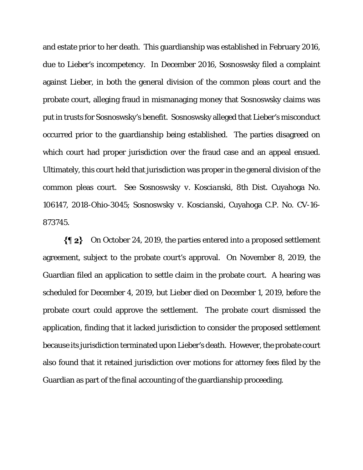and estate prior to her death. This guardianship was established in February 2016, due to Lieber's incompetency. In December 2016, Sosnoswsky filed a complaint against Lieber, in both the general division of the common pleas court and the probate court, alleging fraud in mismanaging money that Sosnoswsky claims was put in trusts for Sosnoswsky's benefit. Sosnoswsky alleged that Lieber's misconduct occurred prior to the guardianship being established. The parties disagreed on which court had proper jurisdiction over the fraud case and an appeal ensued. Ultimately, this court held that jurisdiction was proper in the general division of the common pleas court. *See Sosnoswsky v. Koscianski,* 8th Dist. Cuyahoga No. 106147, 2018-Ohio-3045; *Sosnoswsky v. Koscianski*, Cuyahoga C.P. No. CV-16- 873745.

 $\{ \P 2 \}$ On October 24, 2019, the parties entered into a proposed settlement agreement, subject to the probate court's approval. On November 8, 2019, the Guardian filed an application to settle claim in the probate court. A hearing was scheduled for December 4, 2019, but Lieber died on December 1, 2019, before the probate court could approve the settlement. The probate court dismissed the application, finding that it lacked jurisdiction to consider the proposed settlement because its jurisdiction terminated upon Lieber's death. However, the probate court also found that it retained jurisdiction over motions for attorney fees filed by the Guardian as part of the final accounting of the guardianship proceeding.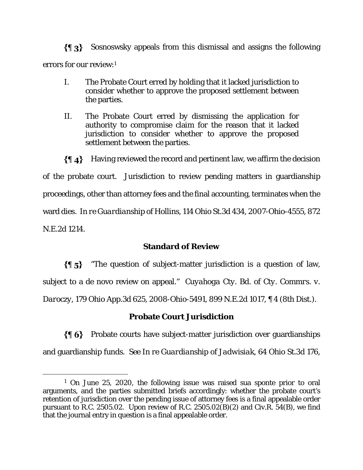$\{ \P_3 \}$ Sosnoswsky appeals from this dismissal and assigns the following errors for our review:1

- I. The Probate Court erred by holding that it lacked jurisdiction to consider whether to approve the proposed settlement between the parties.
- II. The Probate Court erred by dismissing the application for authority to compromise claim for the reason that it lacked jurisdiction to consider whether to approve the proposed settlement between the parties.

 $\{\|\,A\}$  Having reviewed the record and pertinent law, we affirm the decision of the probate court. Jurisdiction to review pending matters in guardianship proceedings, other than attorney fees and the final accounting, terminates when the ward dies. *In re Guardianship of Hollins*, 114 Ohio St.3d 434, 2007-Ohio-4555, 872 N.E.2d 1214.

# **Standard of Review**

 $\{\{\,\,\}\$  \*The question of subject-matter jurisdiction is a question of law, subject to a de novo review on appeal." *Cuyahoga Cty. Bd. of Cty. Commrs. v. Daroczy*, 179 Ohio App.3d 625, 2008-Ohio-5491, 899 N.E.2d 1017, ¶ 4 (8th Dist.).

# **Probate Court Jurisdiction**

 $\{ \phi\}$  Probate courts have subject-matter jurisdiction over guardianships and guardianship funds. *See In re Guardianship of Jadwisiak*, 64 Ohio St.3d 176,

 <sup>1</sup> On June 25, 2020, the following issue was raised sua sponte prior to oral arguments, and the parties submitted briefs accordingly: whether the probate court's retention of jurisdiction over the pending issue of attorney fees is a final appealable order pursuant to R.C. 2505.02. Upon review of R.C. 2505.02(B)(2) and Civ.R. 54(B), we find that the journal entry in question is a final appealable order.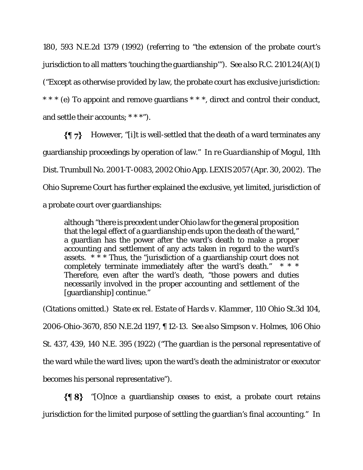180, 593 N.E.2d 1379 (1992) (referring to "the extension of the probate court's jurisdiction to all matters 'touching the guardianship'"). *See also* R.C. 2101.24(A)(1) ("Except as otherwise provided by law, the probate court has exclusive jurisdiction: \* \* \* (e) To appoint and remove guardians \* \* \*, direct and control their conduct, and settle their accounts; \* \* \*").

 $\{\P\,7\}$  However, "[i]t is well-settled that the death of a ward terminates any guardianship proceedings by operation of law." *In re Guardianship of Mogul*, 11th Dist. Trumbull No. 2001-T-0083, 2002 Ohio App. LEXIS 2057 (Apr. 30, 2002). The Ohio Supreme Court has further explained the exclusive, yet limited, jurisdiction of a probate court over guardianships:

although "there is precedent under Ohio law for the general proposition that the legal effect of a guardianship ends upon the death of the ward," a guardian has the power after the ward's death to make a proper accounting and settlement of any acts taken in regard to the ward's assets.  $* \times *$  Thus, the "jurisdiction of a guardianship court does not completely terminate immediately after the ward's death." \* \* \* Therefore, even after the ward's death, "those powers and duties necessarily involved in the proper accounting and settlement of the [guardianship] continue."

(Citations omitted.) *State ex rel. Estate of Hards v. Klammer,* 110 Ohio St.3d 104, 2006-Ohio-3670, 850 N.E.2d 1197, ¶ 12-13. *See also Simpson v. Holmes*, 106 Ohio St. 437, 439, 140 N.E. 395 (1922) ("The guardian is the personal representative of the ward while the ward lives; upon the ward's death the administrator or executor becomes his personal representative").

 $\{\P 8\}$  "[O]nce a guardianship ceases to exist, a probate court retains jurisdiction for the limited purpose of settling the guardian's final accounting." *In*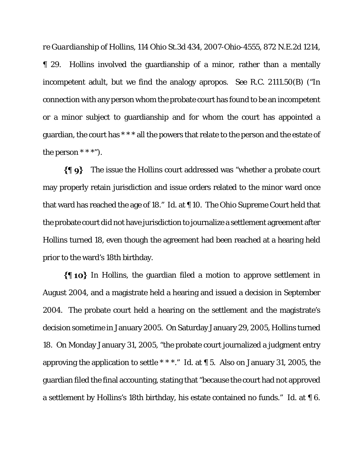*re Guardianship of Hollins*, 114 Ohio St.3d 434, 2007-Ohio-4555, 872 N.E.2d 1214, ¶ 29. *Hollins* involved the guardianship of a minor, rather than a mentally incompetent adult, but we find the analogy apropos. *See* R.C. 2111.50(B) ("In connection with any person whom the probate court has found to be an incompetent or a minor subject to guardianship and for whom the court has appointed a guardian, the court has \* \* \* all the powers that relate to the person and the estate of the person  $***$ ").

The issue the *Hollins* court addressed was "whether a probate court may properly retain jurisdiction and issue orders related to the minor ward once that ward has reached the age of 18." *Id*. at ¶ 10. The Ohio Supreme Court held that the probate court did not have jurisdiction to journalize a settlement agreement after Hollins turned 18, even though the agreement had been reached at a hearing held prior to the ward's 18th birthday.

In *Hollins*, the guardian filed a motion to approve settlement in August 2004, and a magistrate held a hearing and issued a decision in September 2004. The probate court held a hearing on the settlement and the magistrate's decision sometime in January 2005. On Saturday January 29, 2005, Hollins turned 18. On Monday January 31, 2005, "the probate court journalized a judgment entry approving the application to settle \* \* \*." *Id.* at ¶ 5. Also on January 31, 2005, the guardian filed the final accounting, stating that "because the court had not approved a settlement by Hollins's 18th birthday, his estate contained no funds." *Id.* at ¶ 6.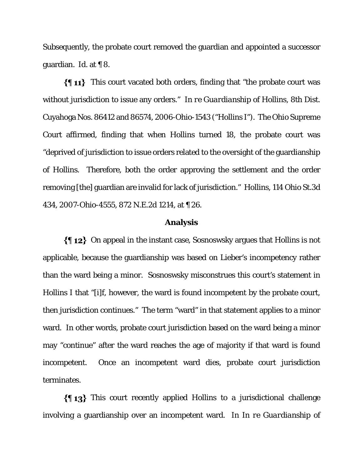Subsequently, the probate court removed the guardian and appointed a successor guardian. *Id.* at ¶ 8.

 $\{\P 11\}$  This court vacated both orders, finding that "the probate court was without jurisdiction to issue any orders." *In re Guardianship of Hollins*, 8th Dist. Cuyahoga Nos. 86412 and 86574, 2006-Ohio-1543 ("*Hollins I*"). The Ohio Supreme Court affirmed, finding that when Hollins turned 18, the probate court was "deprived of jurisdiction to issue orders related to the oversight of the guardianship of Hollins. Therefore, both the order approving the settlement and the order removing [the] guardian are invalid for lack of jurisdiction." *Hollins,* 114 Ohio St.3d 434, 2007-Ohio-4555, 872 N.E.2d 1214, at ¶ 26.

#### **Analysis**

On appeal in the instant case, Sosnoswsky argues that *Hollins* is not applicable, because the guardianship was based on Lieber's incompetency rather than the ward being a minor. Sosnoswsky misconstrues this court's statement in *Hollins I* that "[i]f, however, the ward is found incompetent by the probate court, then jurisdiction continues." The term "ward" in that statement applies to a minor ward. In other words, probate court jurisdiction based on the ward being a minor may "continue" after the ward reaches the age of majority if that ward is found incompetent. Once an incompetent ward dies, probate court jurisdiction terminates.

This court recently applied *Hollins* to a jurisdictional challenge involving a guardianship over an incompetent ward. In *In re Guardianship of*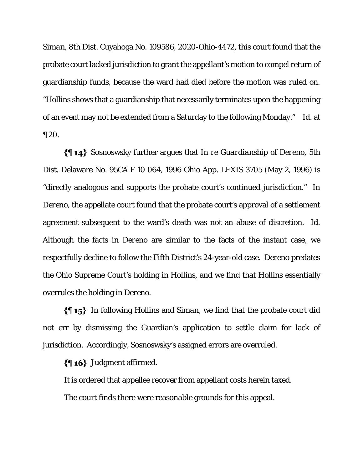*Siman*, 8th Dist. Cuyahoga No. 109586, 2020-Ohio-4472, this court found that the probate court lacked jurisdiction to grant the appellant's motion to compel return of guardianship funds, because the ward had died before the motion was ruled on. "*Hollins* shows that a guardianship that necessarily terminates upon the happening of an event may not be extended from a Saturday to the following Monday." *Id*. at ¶ 20.

Sosnoswsky further argues that *In re Guardianship of Dereno*, 5th Dist. Delaware No. 95CA F 10 064, 1996 Ohio App. LEXIS 3705 (May 2, 1996) is "directly analogous and supports the probate court's continued jurisdiction." In *Dereno*, the appellate court found that the probate court's approval of a settlement agreement subsequent to the ward's death was not an abuse of discretion. *Id*. Although the facts in *Dereno* are similar to the facts of the instant case, we respectfully decline to follow the Fifth District's 24-year-old case. *Dereno* predates the Ohio Supreme Court's holding in *Hollins*, and we find that *Hollins* essentially overrules the holding in *Dereno*.

In following *Hollins* and *Siman*, we find that the probate court did not err by dismissing the Guardian's application to settle claim for lack of jurisdiction. Accordingly, Sosnoswsky's assigned errors are overruled.

#### $\{\P 16\}$  Judgment affirmed.

It is ordered that appellee recover from appellant costs herein taxed.

The court finds there were reasonable grounds for this appeal.